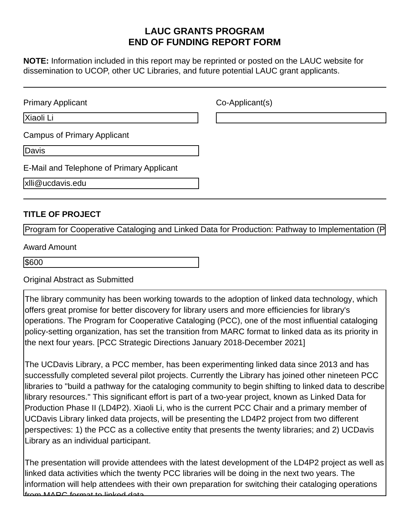# **LAUC GRANTS PROGRAM END OF FUNDING REPORT FORM**

**NOTE:** Information included in this report may be reprinted or posted on the LAUC website for dissemination to UCOP, other UC Libraries, and future potential LAUC grant applicants.

| <b>Primary Applicant</b>                  | Co-Applicant(s) |
|-------------------------------------------|-----------------|
| Xiaoli Li                                 |                 |
| <b>Campus of Primary Applicant</b>        |                 |
| Davis                                     |                 |
| E-Mail and Telephone of Primary Applicant |                 |
| xlli@ucdavis.edu                          |                 |

#### **TITLE OF PROJECT**

Program for Cooperative Cataloging and Linked Data for Production: Pathway to Implementation (P

\$600

Original Abstract as Submitted

The library community has been working towards to the adoption of linked data technology, which offers great promise for better discovery for library users and more efficiencies for library's operations. The Program for Cooperative Cataloging (PCC), one of the most influential cataloging policy-setting organization, has set the transition from MARC format to linked data as its priority in the next four years. [PCC Strategic Directions January 2018-December 2021]

The UCDavis Library, a PCC member, has been experimenting linked data since 2013 and has successfully completed several pilot projects. Currently the Library has joined other nineteen PCC libraries to "build a pathway for the cataloging community to begin shifting to linked data to describe library resources." This significant effort is part of a two-year project, known as Linked Data for Production Phase II (LD4P2). Xiaoli Li, who is the current PCC Chair and a primary member of UCDavis Library linked data projects, will be presenting the LD4P2 project from two different perspectives: 1) the PCC as a collective entity that presents the twenty libraries; and 2) UCDavis Library as an individual participant.

The presentation will provide attendees with the latest development of the LD4P2 project as well as linked data activities which the twenty PCC libraries will be doing in the next two years. The information will help attendees with their own preparation for switching their cataloging operations from MARC format to linked data.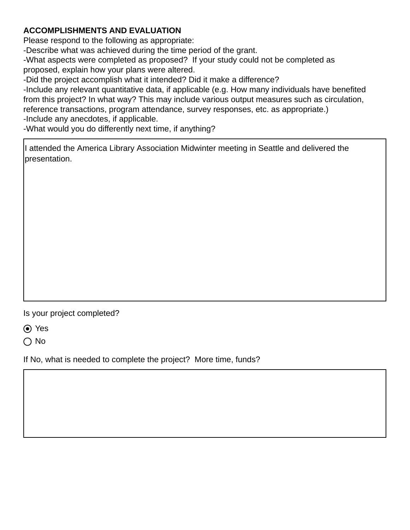# **ACCOMPLISHMENTS AND EVALUATION**

Please respond to the following as appropriate:

-Describe what was achieved during the time period of the grant.

-What aspects were completed as proposed? If your study could not be completed as proposed, explain how your plans were altered.

-Did the project accomplish what it intended? Did it make a difference?

-Include any relevant quantitative data, if applicable (e.g. How many individuals have benefited from this project? In what way? This may include various output measures such as circulation, reference transactions, program attendance, survey responses, etc. as appropriate.) -Include any anecdotes, if applicable.

-What would you do differently next time, if anything?

I attended the America Library Association Midwinter meeting in Seattle and delivered the presentation.

Is your project completed?

Yes

 $\bigcap$  No

If No, what is needed to complete the project? More time, funds?